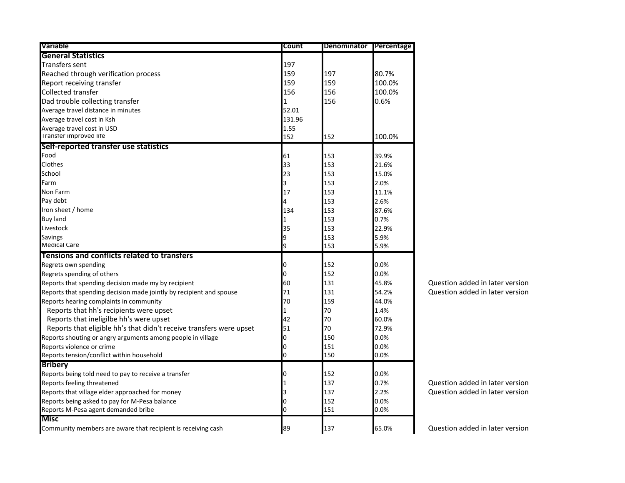| <b>Variable</b>                                                     | Count  | Denominator | Percentage |
|---------------------------------------------------------------------|--------|-------------|------------|
| <b>General Statistics</b>                                           |        |             |            |
| <b>Transfers sent</b>                                               | 197    |             |            |
| Reached through verification process                                | 159    | 197         | 80.7%      |
| Report receiving transfer                                           | 159    | 159         | 100.0%     |
| <b>Collected transfer</b>                                           | 156    | 156         | 100.0%     |
| Dad trouble collecting transfer                                     | 1      | 156         | 0.6%       |
| Average travel distance in minutes                                  | 52.01  |             |            |
| Average travel cost in Ksh                                          | 131.96 |             |            |
| Average travel cost in USD                                          | 1.55   |             |            |
| Transter improved lite                                              | 152    | 152         | 100.0%     |
| Self-reported transfer use statistics                               |        |             |            |
| Food                                                                | 61     | 153         | 39.9%      |
| Clothes                                                             | 33     | 153         | 21.6%      |
| School                                                              | 23     | 153         | 15.0%      |
| Farm                                                                | 3      | 153         | 2.0%       |
| Non Farm                                                            | 17     | 153         | 11.1%      |
| Pay debt                                                            | 4      | 153         | 2.6%       |
| Iron sheet / home                                                   | 134    | 153         | 87.6%      |
| <b>Buy land</b>                                                     | 1      | 153         | 0.7%       |
| Livestock                                                           | 35     | 153         | 22.9%      |
| <b>Savings</b>                                                      | 9      | 153         | 5.9%       |
| <b>Medical Care</b>                                                 | 9      | 153         | 5.9%       |
| Tensions and conflicts related to transfers                         |        |             |            |
| Regrets own spending                                                | 0      | 152         | 0.0%       |
| Regrets spending of others                                          | 0      | 152         | 0.0%       |
| Reports that spending decision made my by recipient                 | 60     | 131         | 45.8%      |
| Reports that spending decision made jointly by recipient and spouse | 71     | 131         | 54.2%      |
| Reports hearing complaints in community                             | 70     | 159         | 44.0%      |
| Reports that hh's recipients were upset                             | 1      | 70          | 1.4%       |
| Reports that ineligilbe hh's were upset                             | 42     | 70          | 60.0%      |
| Reports that eligible hh's that didn't receive transfers were upset | 51     | 70          | 72.9%      |
| Reports shouting or angry arguments among people in village         | 0      | 150         | 0.0%       |
| Reports violence or crime                                           | 0      | 151         | 0.0%       |
| Reports tension/conflict within household                           | 0      | 150         | 0.0%       |
| <b>Bribery</b>                                                      |        |             |            |
| Reports being told need to pay to receive a transfer                | 0      | 152         | 0.0%       |
| Reports feeling threatened                                          | 1      | 137         | 0.7%       |
| Reports that village elder approached for money                     | 3      | 137         | 2.2%       |
| Reports being asked to pay for M-Pesa balance                       | 0      | 152         | 0.0%       |
| Reports M-Pesa agent demanded bribe                                 | 0      | 151         | 0.0%       |
| <b>Misc</b>                                                         |        |             |            |
| Community members are aware that recipient is receiving cash        | 89     | 137         | 65.0%      |

Question added in later version Question added in later version

Question added in later version Question added in later version

Question added in later version